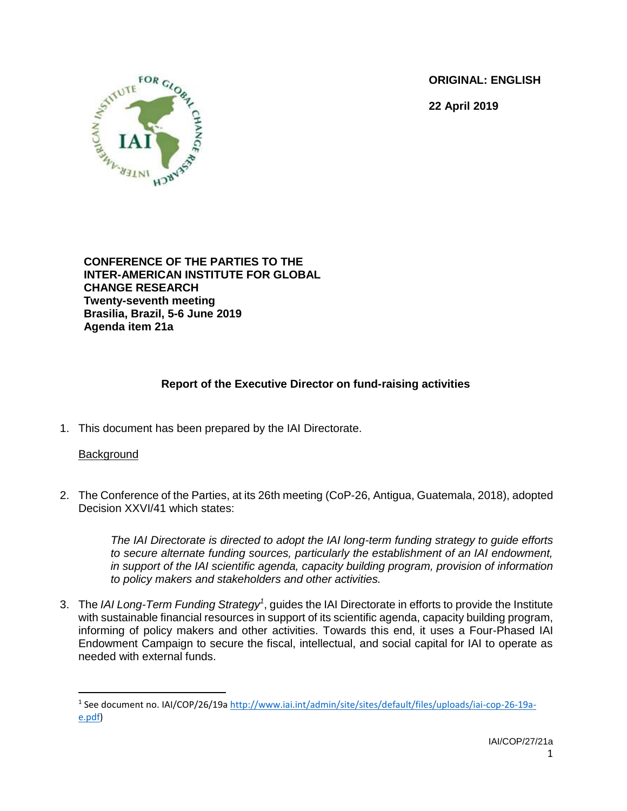**ORIGINAL: ENGLISH**

**22 April 2019**



**CONFERENCE OF THE PARTIES TO THE INTER-AMERICAN INSTITUTE FOR GLOBAL CHANGE RESEARCH Twenty-seventh meeting Brasilia, Brazil, 5-6 June 2019 Agenda item 21a**

# **Report of the Executive Director on fund-raising activities**

1. This document has been prepared by the IAI Directorate.

## Background

 $\overline{\phantom{a}}$ 

2. The Conference of the Parties, at its 26th meeting (CoP-26, Antigua, Guatemala, 2018), adopted Decision XXVI/41 which states:

> *The IAI Directorate is directed to adopt the IAI long-term funding strategy to guide efforts to secure alternate funding sources, particularly the establishment of an IAI endowment, in support of the IAI scientific agenda, capacity building program, provision of information to policy makers and stakeholders and other activities.*

3. The *IAI Long-Term Funding Strategy<sup>1</sup>* , guides the IAI Directorate in efforts to provide the Institute with sustainable financial resources in support of its scientific agenda, capacity building program, informing of policy makers and other activities. Towards this end, it uses a Four-Phased IAI Endowment Campaign to secure the fiscal, intellectual, and social capital for IAI to operate as needed with external funds.

<sup>&</sup>lt;sup>1</sup> See document no. IAI/COP/26/19a [http://www.iai.int/admin/site/sites/default/files/uploads/iai-cop-26-19a](http://www.iai.int/admin/site/sites/default/files/uploads/iai-cop-26-19a-e.pdf)[e.pdf\)](http://www.iai.int/admin/site/sites/default/files/uploads/iai-cop-26-19a-e.pdf)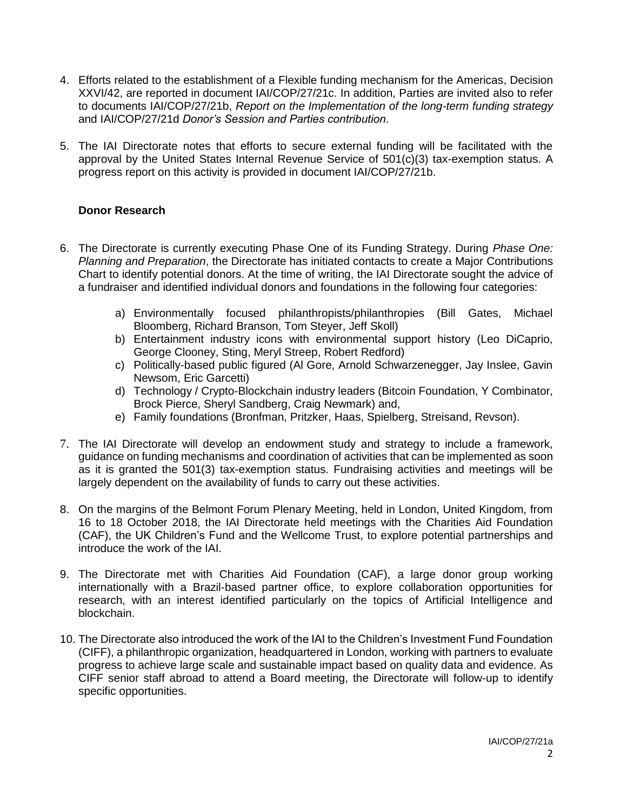- 4. Efforts related to the establishment of a Flexible funding mechanism for the Americas, Decision XXVI/42, are reported in document IAI/COP/27/21c. In addition, Parties are invited also to refer to documents IAI/COP/27/21b, *Report on the Implementation of the long-term funding strategy* and IAI/COP/27/21d *Donor's Session and Parties contribution*.
- 5. The IAI Directorate notes that efforts to secure external funding will be facilitated with the approval by the United States Internal Revenue Service of 501(c)(3) tax-exemption status. A progress report on this activity is provided in document IAI/COP/27/21b.

### **Donor Research**

- 6. The Directorate is currently executing Phase One of its Funding Strategy. During *Phase One: Planning and Preparation*, the Directorate has initiated contacts to create a Major Contributions Chart to identify potential donors. At the time of writing, the IAI Directorate sought the advice of a fundraiser and identified individual donors and foundations in the following four categories:
	- a) Environmentally focused philanthropists/philanthropies (Bill Gates, Michael Bloomberg, Richard Branson, Tom Steyer, Jeff Skoll)
	- b) Entertainment industry icons with environmental support history (Leo DiCaprio, George Clooney, Sting, Meryl Streep, Robert Redford)
	- c) Politically-based public figured (Al Gore, Arnold Schwarzenegger, Jay Inslee, Gavin Newsom, Eric Garcetti)
	- d) Technology / Crypto-Blockchain industry leaders (Bitcoin Foundation, Y Combinator, Brock Pierce, Sheryl Sandberg, Craig Newmark) and,
	- e) Family foundations (Bronfman, Pritzker, Haas, Spielberg, Streisand, Revson).
- 7. The IAI Directorate will develop an endowment study and strategy to include a framework, guidance on funding mechanisms and coordination of activities that can be implemented as soon as it is granted the 501(3) tax-exemption status. Fundraising activities and meetings will be largely dependent on the availability of funds to carry out these activities.
- 8. On the margins of the Belmont Forum Plenary Meeting, held in London, United Kingdom, from 16 to 18 October 2018, the IAI Directorate held meetings with the Charities Aid Foundation (CAF), the UK Children's Fund and the Wellcome Trust, to explore potential partnerships and introduce the work of the IAI.
- 9. The Directorate met with Charities Aid Foundation (CAF), a large donor group working internationally with a Brazil-based partner office, to explore collaboration opportunities for research, with an interest identified particularly on the topics of Artificial Intelligence and blockchain.
- 10. The Directorate also introduced the work of the IAI to the Children's Investment Fund Foundation (CIFF), a philanthropic organization, headquartered in London, working with partners to evaluate progress to achieve large scale and sustainable impact based on quality data and evidence. As CIFF senior staff abroad to attend a Board meeting, the Directorate will follow-up to identify specific opportunities.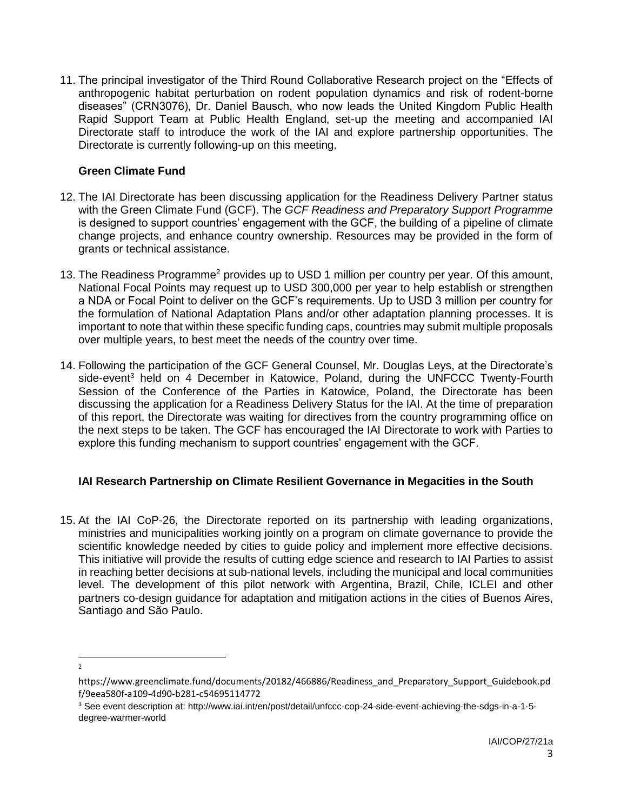11. The principal investigator of the Third Round Collaborative Research project on the "Effects of anthropogenic habitat perturbation on rodent population dynamics and risk of rodent-borne diseases" (CRN3076), Dr. Daniel Bausch, who now leads the United Kingdom Public Health Rapid Support Team at Public Health England, set-up the meeting and accompanied IAI Directorate staff to introduce the work of the IAI and explore partnership opportunities. The Directorate is currently following-up on this meeting.

### **Green Climate Fund**

- 12. The IAI Directorate has been discussing application for the Readiness Delivery Partner status with the Green Climate Fund (GCF). The *GCF Readiness and Preparatory Support Programme* is designed to support countries' engagement with the GCF, the building of a pipeline of climate change projects, and enhance country ownership. Resources may be provided in the form of grants or technical assistance.
- 13. The Readiness Programme<sup>2</sup> provides up to USD 1 million per country per year. Of this amount, National Focal Points may request up to USD 300,000 per year to help establish or strengthen a NDA or Focal Point to deliver on the GCF's requirements. Up to USD 3 million per country for the formulation of National Adaptation Plans and/or other adaptation planning processes. It is important to note that within these specific funding caps, countries may submit multiple proposals over multiple years, to best meet the needs of the country over time.
- 14. Following the participation of the GCF General Counsel, Mr. Douglas Leys, at the Directorate's side-event<sup>3</sup> held on 4 December in Katowice, Poland, during the UNFCCC Twenty-Fourth Session of the Conference of the Parties in Katowice, Poland, the Directorate has been discussing the application for a Readiness Delivery Status for the IAI. At the time of preparation of this report, the Directorate was waiting for directives from the country programming office on the next steps to be taken. The GCF has encouraged the IAI Directorate to work with Parties to explore this funding mechanism to support countries' engagement with the GCF.

## **IAI Research Partnership on Climate Resilient Governance in Megacities in the South**

15. At the IAI CoP-26, the Directorate reported on its partnership with leading organizations, ministries and municipalities working jointly on a program on climate governance to provide the scientific knowledge needed by cities to guide policy and implement more effective decisions. This initiative will provide the results of cutting edge science and research to IAI Parties to assist in reaching better decisions at sub-national levels, including the municipal and local communities level. The development of this pilot network with Argentina, Brazil, Chile, ICLEI and other partners co-design guidance for adaptation and mitigation actions in the cities of Buenos Aires, Santiago and São Paulo.

 $\overline{\phantom{a}}$  $\overline{2}$ 

https://www.greenclimate.fund/documents/20182/466886/Readiness\_and\_Preparatory\_Support\_Guidebook.pd f/9eea580f-a109-4d90-b281-c54695114772

<sup>3</sup> See event description at: http://www.iai.int/en/post/detail/unfccc-cop-24-side-event-achieving-the-sdgs-in-a-1-5 degree-warmer-world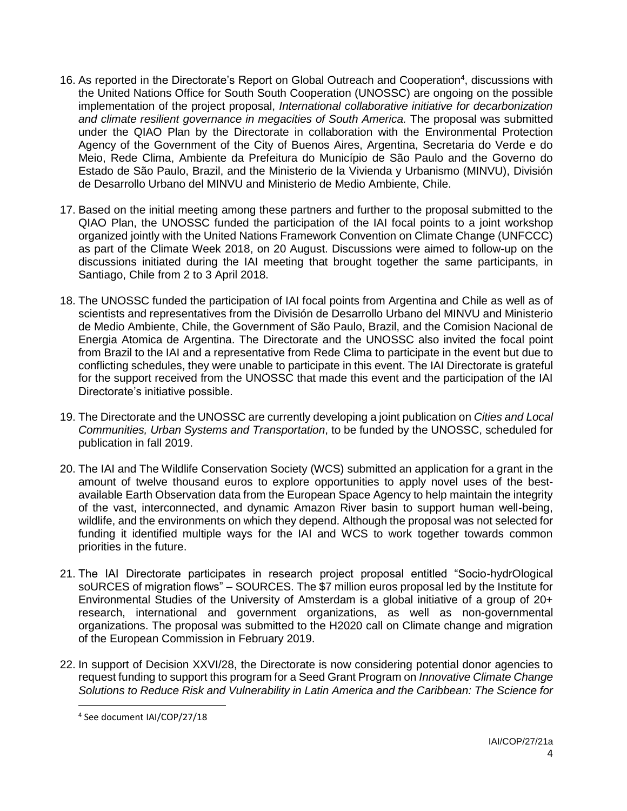- 16. As reported in the Directorate's Report on Global Outreach and Cooperation<sup>4</sup>, discussions with the United Nations Office for South South Cooperation (UNOSSC) are ongoing on the possible implementation of the project proposal, *International collaborative initiative for decarbonization*  and climate resilient governance in megacities of South America. The proposal was submitted under the QIAO Plan by the Directorate in collaboration with the Environmental Protection Agency of the Government of the City of Buenos Aires, Argentina, Secretaria do Verde e do Meio, Rede Clima, Ambiente da Prefeitura do Município de São Paulo and the Governo do Estado de São Paulo, Brazil, and the Ministerio de la Vivienda y Urbanismo (MINVU), División de Desarrollo Urbano del MINVU and Ministerio de Medio Ambiente, Chile.
- 17. Based on the initial meeting among these partners and further to the proposal submitted to the QIAO Plan, the UNOSSC funded the participation of the IAI focal points to a joint workshop organized jointly with the United Nations Framework Convention on Climate Change (UNFCCC) as part of the Climate Week 2018, on 20 August. Discussions were aimed to follow-up on the discussions initiated during the IAI meeting that brought together the same participants, in Santiago, Chile from 2 to 3 April 2018.
- 18. The UNOSSC funded the participation of IAI focal points from Argentina and Chile as well as of scientists and representatives from the División de Desarrollo Urbano del MINVU and Ministerio de Medio Ambiente, Chile, the Government of São Paulo, Brazil, and the Comision Nacional de Energia Atomica de Argentina. The Directorate and the UNOSSC also invited the focal point from Brazil to the IAI and a representative from Rede Clima to participate in the event but due to conflicting schedules, they were unable to participate in this event. The IAI Directorate is grateful for the support received from the UNOSSC that made this event and the participation of the IAI Directorate's initiative possible.
- 19. The Directorate and the UNOSSC are currently developing a joint publication on *Cities and Local Communities, Urban Systems and Transportation*, to be funded by the UNOSSC, scheduled for publication in fall 2019.
- 20. The IAI and The Wildlife Conservation Society (WCS) submitted an application for a grant in the amount of twelve thousand euros to explore opportunities to apply novel uses of the bestavailable Earth Observation data from the European Space Agency to help maintain the integrity of the vast, interconnected, and dynamic Amazon River basin to support human well-being, wildlife, and the environments on which they depend. Although the proposal was not selected for funding it identified multiple ways for the IAI and WCS to work together towards common priorities in the future.
- 21. The IAI Directorate participates in research project proposal entitled "Socio-hydrOlogical soURCES of migration flows" – SOURCES. The \$7 million euros proposal led by the Institute for Environmental Studies of the University of Amsterdam is a global initiative of a group of 20+ research, international and government organizations, as well as non-governmental organizations. The proposal was submitted to the H2020 call on Climate change and migration of the European Commission in February 2019.
- 22. In support of Decision XXVI/28, the Directorate is now considering potential donor agencies to request funding to support this program for a Seed Grant Program on *Innovative Climate Change Solutions to Reduce Risk and Vulnerability in Latin America and the Caribbean: The Science for*

 $\overline{a}$ 

<sup>4</sup> See document IAI/COP/27/18